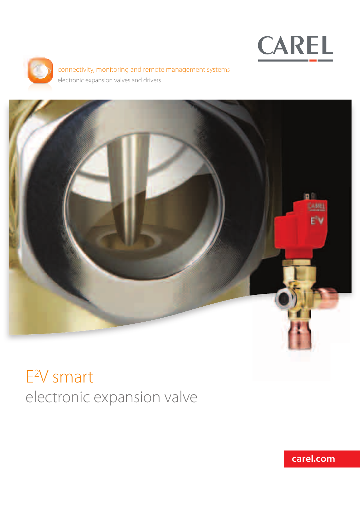



connectivity, monitoring and remote management systems electronic expansion valves and drivers



# E2 V smart electronic expansion valve

**carel.com**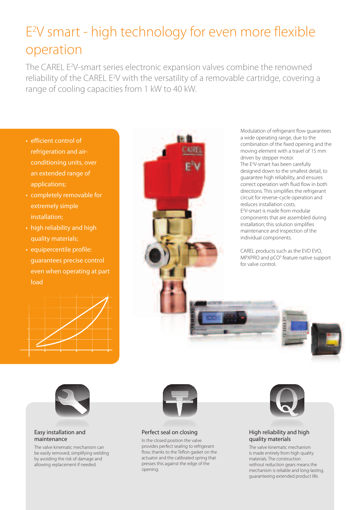## E2 V smart - high technology for even more flexible operation

The CAREL E<sup>2</sup>V-smart series electronic expansion valves combine the renowned reliability of the CAREL E<sup>2</sup>V with the versatility of a removable cartridge, covering a range of cooling capacities from 1 kW to 40 kW.

- efficient control of refrigeration and airconditioning units, over an extended range of applications;
- completely removable for extremely simple installation;
- high reliability and high quality materials;
- equipercentile profile: guarantees precise control even when operating at part load





Modulation of refrigerant flow guarantees a wide operating range, due to the combination of the fixed opening and the moving element with a travel of 15 mm driven by stepper motor. The E2 V-smart has been carefully designed down to the smallest detail, to guarantee high reliability, and ensures correct operation with fluid flow in both directions. This simplifies the refrigerant circuit for reverse-cycle operation and reduces installation costs. E2 V-smart is made from modular components that are assembled during installation; this solution simplifies maintenance and inspection of the individual components.

CAREL products such as the EVD EVO, MPXPRO and pCO<sup>5</sup> feature native support for valve control.



#### Easy installation and maintenance

The valve kinematic mechanism can be easily removed, simplifying welding by avoiding the risk of damage and allowing replacement if needed.



### Perfect seal on closing

In the closed position the valve provides perfect sealing to refrigerant flow, thanks to the Teflon gasket on the actuator and the calibrated spring that presses this against the edge of the opening.



#### High reliability and high quality materials

The valve kinematic mechanism is made entirely from high quality materials. The construction without reduction gears means the mechanism is reliable and long-lasting, guaranteeing extended product life.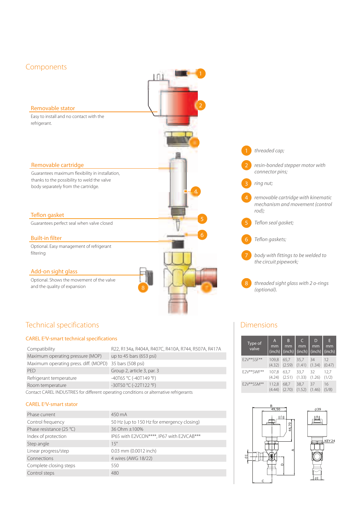## Components

#### Removable stator

Easy to install and no contact with the refrigerant.

#### Removable cartridge

Guarantees maximum flexibility in installation, thanks to the possibility to weld the valve body separately from the cartridge.

#### Teflon gasket

Guarantees perfect seal when valve closed

#### Built-in filter

Optional. Easy management of refrigerant filtering

## Add-on sight glass

Optional. Shows the movement of the valve and the quality of expansion



2

**HIIIIII** 

n

## Technical specifications

#### CAREL E2 V-smart technical specifications

| Compatibility                                                                           | R22, R134a, R404A, R407C, R410A, R744, R507A, R417A |  |  |  |
|-----------------------------------------------------------------------------------------|-----------------------------------------------------|--|--|--|
| Maximum operating pressure (MOP)                                                        | up to 45 bars (653 psi)                             |  |  |  |
| Maximum operating press. diff. (MOPD) 35 bars (508 psi)                                 |                                                     |  |  |  |
| <b>PFD</b>                                                                              | Group 2, article 3, par. 3                          |  |  |  |
| Refrigerant temperature                                                                 | -40T65 °C (-40T149 °F)                              |  |  |  |
| Room temperature                                                                        | -30T50 °C (-22T122 °F)                              |  |  |  |
| Contact CAREL INDUSTRIES for different operating conditions or alternative refrigerants |                                                     |  |  |  |

#### CAREL E2 V-smart stator

| Phase current            | 450 mA                                     |
|--------------------------|--------------------------------------------|
| Control frequency        | 50 Hz (up to 150 Hz for emergency closing) |
| Phase resistance (25 °C) | 36 Ohm ±100%                               |
| Index of protection      | IP65 with E2VCON****, IP67 with E2VCAB***  |
| Step angle               | $15^\circ$                                 |
| Linear progress/step     | 0.03 mm (0.0012 inch)                      |
| Connections              | 4 wires (AWG 18/22)                        |
| Complete closing steps   | 550                                        |
| Control steps            | 480                                        |



## Dimensions

| Type of<br>valve | $\mathsf{A}$<br>mm<br>$(inch)$ (inch) | B<br>mm | C<br>mm<br>(inch) | D<br>mm<br>(inch) | E<br>mm<br>(inch) |
|------------------|---------------------------------------|---------|-------------------|-------------------|-------------------|
| F2V**SSF**       | 109.8                                 | 65.7    | 35,7              | 34                | 12                |
|                  | (4.32)                                | (2.59)  | (1.41)            | (1.34)            | (0.47)            |
| E2V**SWF**       | 107,8                                 | 63,7    | 33,7              | 32                | 12,7              |
|                  | (4.24)                                | (2.51)  | (1.33)            | (1.26)            | (1/2)             |
| F2V**SSM**       | 112,8                                 | 68.7    | 38,7              | 37                | 16                |
|                  | (4.44)                                | (2.70)  | (1.52)            | (1.46)            | (5/8)             |